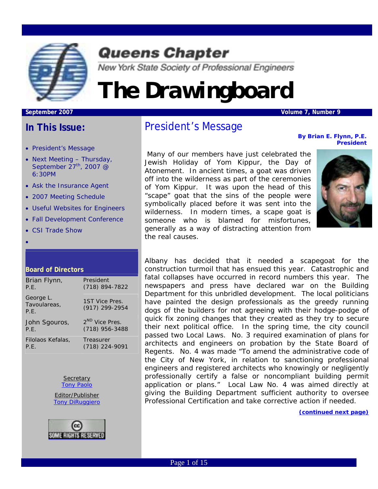

### **Queens Chapter**

New York State Society of Professional Engineers

## *The Drawingboard*

#### **September 2007** Volume 7, Number 9

### **In This Issue:**

- President's Message
- Next Meeting Thursday, September  $27<sup>th</sup>$ , 2007 @ 6:30PM
- Ask the Insurance Agent
- 2007 Meeting Schedule
- Useful Websites for Engineers
- Fall Development Conference
- CSI Trade Show

•

#### **Board of Directors**

| Brian Flynn,                      | President                        |
|-----------------------------------|----------------------------------|
| P.E.                              | (718) 894-7822                   |
| George L.<br>Tavoulareas,<br>P.F. | 1ST Vice Pres.<br>(917) 299-2954 |
| John Sgouros,                     | 2 <sup>ND</sup> Vice Pres.       |
| P.E.                              | $(718)$ 956-3488                 |
| Filolaos Kefalas,                 | Treasurer                        |
| P.E.                              | (718) 224-9091                   |

**Secretary** [Tony Paolo](mailto:impala1967@verizon.net?subject=Drawingboard%20Feedback(Sept.%2006):) Editor/Publisher

**[Tony DiRuggiero](mailto:TONYTONY+Drawingboard@gmail.com?subject=FEEDBACK:JAN%20)** 



### President's Message

*By Brian E. Flynn, P.E. President* 

 Many of our members have just celebrated the Jewish Holiday of Yom Kippur, the Day of Atonement. In ancient times, a goat was driven off into the wilderness as part of the ceremonies of Yom Kippur. It was upon the head of this "scape" goat that the sins of the people were symbolically placed before it was sent into the wilderness. In modern times, a scape goat is someone who is blamed for misfortunes, generally as a way of distracting attention from the real causes.



Albany has decided that it needed a scapegoat for the construction turmoil that has ensued this year. Catastrophic and fatal collapses have occurred in record numbers this year. The newspapers and press have declared war on the Building Department for this unbridled development. The local politicians have painted the design professionals as the greedy running dogs of the builders for not agreeing with their hodge-podge of quick fix zoning changes that they created as they try to secure their next political office. In the spring time, the city council passed two Local Laws. No. 3 required examination of plans for architects and engineers on probation by the State Board of Regents. No. 4 was made "To amend the administrative code of the City of New York, in relation to sanctioning professional engineers and registered architects who knowingly or negligently professionally certify a false or noncompliant building permit application or plans." Local Law No. 4 was aimed directly at giving the Building Department sufficient authority to oversee Professional Certification and take corrective action if needed.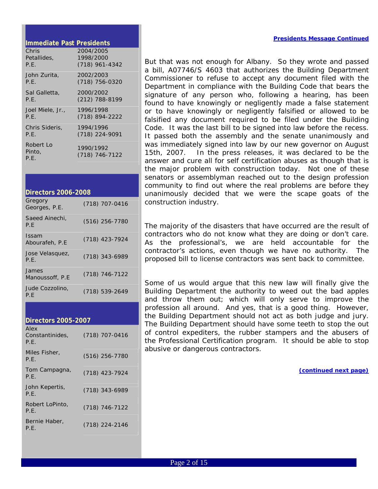#### *Presidents Message Continued*

#### **Immediate Past Presidents**

| Chris                       | 2004/2005                     |
|-----------------------------|-------------------------------|
| Petallides.                 | 1998/2000                     |
| P.E.                        | $(718)$ 961-4342              |
| John Zurita,                | 2002/2003                     |
| P.E.                        | (718) 756-0320                |
| Sal Galletta,               | 2000/2002                     |
| P.E.                        | $(212)$ 788-8199              |
| Joel Miele, Jr.,            | 1996/1998                     |
| P.E.                        | (718) 894-2222                |
| Chris Sideris.              | 1994/1996                     |
| P.E.                        | (718) 224-9091                |
| Robert Lo<br>Pinto,<br>P.E. | 1990/1992<br>$(718)$ 746-7122 |

| <b>Directors 2006-2008</b>     |                  |  |  |  |  |  |  |  |
|--------------------------------|------------------|--|--|--|--|--|--|--|
| Gregory<br>Georges, P.E.       | (718) 707-0416   |  |  |  |  |  |  |  |
| Saeed Ainechi.<br>P.F          | $(516)$ 256-7780 |  |  |  |  |  |  |  |
| <b>Issam</b><br>Abourafeh, P.E | (718) 423-7924   |  |  |  |  |  |  |  |
| Jose Velasquez,<br>P.F.        | $(718)$ 343-6989 |  |  |  |  |  |  |  |
| James<br>Manoussoff, P.E.      | (718) 746-7122   |  |  |  |  |  |  |  |
| Jude Cozzolino,<br>P.F         | (718) 539-2649   |  |  |  |  |  |  |  |

| <b>Directors 2005-2007</b>      |                  |
|---------------------------------|------------------|
| Alex<br>Constantinides,<br>P.F. | (718) 707-0416   |
| Miles Fisher,<br>P.E.           | $(516)$ 256-7780 |
| Tom Campagna,<br>P.F.           | (718) 423-7924   |
| John Kepertis,<br>P.F.          | $(718)$ 343-6989 |
| Robert LoPinto,<br>P.E.         | $(718)$ 746-7122 |
| Bernie Haber,<br>P.F.           | (718) 224-2146   |

But that was not enough for Albany. So they wrote and passed a bill, A07746/S 4603 that authorizes the Building Department Commissioner to refuse to accept any document filed with the Department in compliance with the Building Code that bears the signature of any person who, following a hearing, has been found to have knowingly or negligently made a false statement or to have knowingly or negligently falsified or allowed to be falsified any document required to be filed under the Building Code. It was the last bill to be signed into law before the recess. It passed both the assembly and the senate unanimously and was immediately signed into law by our new governor on August 15th, 2007. In the press releases, it was declared to be the answer and cure all for self certification abuses as though that is the major problem with construction today. Not one of these senators or assemblyman reached out to the design profession community to find out where the real problems are before they unanimously decided that we were the scape goats of the construction industry.

The majority of the disasters that have occurred are the result of contractors who do not know what they are doing or don't care. As the professional's, we are held accountable for the contractor's actions, even though we have no authority. The proposed bill to license contractors was sent back to committee.

Some of us would argue that this new law will finally give the Building Department the authority to weed out the bad apples and throw them out; which will only serve to improve the profession all around. And yes, that is a good thing. However, the Building Department should not act as both judge and jury. The Building Department should have some teeth to stop the out of control expediters, the rubber stampers and the abusers of the Professional Certification program. It should be able to stop abusive or dangerous contractors.

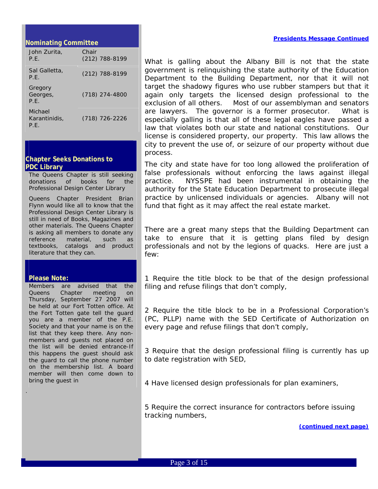#### **Nominating Committee**

| John Zurita,<br>P.E.             | Chair<br>(212) 788-8199 |
|----------------------------------|-------------------------|
| Sal Galletta,<br>P.F.            | $(212)$ 788-8199        |
| Gregory<br>Georges,<br>P.F.      | $(718)$ 274-4800        |
| Michael<br>Karantinidis,<br>P.F. | (718) 726-2226          |

#### **Chapter Seeks Donations to PDC Library**

The Queens Chapter is still seeking donations of books for the Professional Design Center Library

Queens Chapter President Brian Flynn would like all to know that the Professional Design Center Library is still in need of Books, Magazines and other materials. The Queens Chapter is asking all members to donate any reference material, such as textbooks, catalogs and product literature that they can.

#### **Please Note:**

.

Members are advised that the Queens Chapter meeting on Thursday, September 27 2007 will be held at our Fort Totten office. At the Fort Totten gate tell the guard you are a member of the P.E. Society and that your name is on the list that they keep there. Any nonmembers and guests not placed on the list will be denied entrance-If this happens the guest should ask the guard to call the phone number on the membership list. A board member will then come down to bring the guest in

What is galling about the Albany Bill is not that the state government is relinquishing the state authority of the Education Department to the Building Department, nor that it will not target the shadowy figures who use rubber stampers but that it again only targets the licensed design professional to the exclusion of all others. Most of our assemblyman and senators are lawyers. The governor is a former prosecutor. What is especially galling is that all of these legal eagles have passed a law that violates both our state and national constitutions. Our license is considered property, our property. This law allows the city to prevent the use of, or seizure of our property without due process.

The city and state have for too long allowed the proliferation of false professionals without enforcing the laws against illegal practice. NYSSPE had been instrumental in obtaining the authority for the State Education Department to prosecute illegal practice by unlicensed individuals or agencies. Albany will not fund that fight as it may affect the real estate market.

There are a great many steps that the Building Department can take to ensure that it is getting plans filed by design professionals and not by the legions of quacks. Here are just a few:

1 Require the title block to be that of the design professional filing and refuse filings that don't comply,

2 Require the title block to be in a Professional Corporation's (PC, PLLP) name with the SED Certificate of Authorization on every page and refuse filings that don't comply,

3 Require that the design professional filing is currently has up to date registration with SED,

4 Have licensed design professionals for plan examiners,

5 Require the correct insurance for contractors before issuing tracking numbers,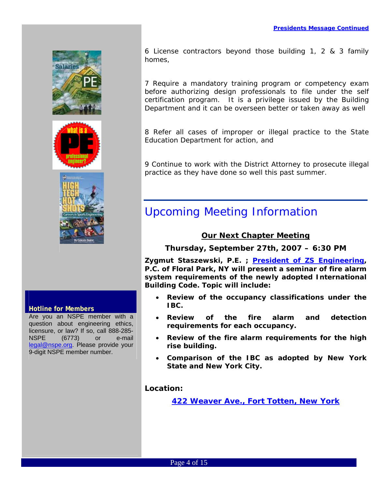

### **Hotline for Members**

Are you an NSPE member with a question about engineering ethics, licensure, or law? If so, call 888-285- NSPE (6773) or e-mail [legal@nspe.org](mailto:legal@nspe.org). Please provide your 9-digit NSPE member number.

6 License contractors beyond those building 1, 2 & 3 family homes,

7 Require a mandatory training program or competency exam before authorizing design professionals to file under the self certification program. It is a privilege issued by the Building Department and it can be overseen better or taken away as well

8 Refer all cases of improper or illegal practice to the State Education Department for action, and

9 Continue to work with the District Attorney to prosecute illegal practice as they have done so well this past summer.

### Upcoming Meeting Information

### *Our Next Chapter Meeting*

*Thursday, September 27th, 2007 – 6:30 PM* 

**Zygmut Staszewski, P.E. ; [President of ZS Engineering](http://www.zsengineering.com/), P.C. of Floral Park, NY will present a seminar of fire alarm system requirements of the newly adopted International Building Code. Topic will include:** 

- **Review of the occupancy classifications under the IBC.**
- **Review of the fire alarm and detection requirements for each occupancy.**
- **Review of the fire alarm requirements for the high rise building.**
- **Comparison of the IBC as adopted by New York State and New York City.**

*Location:* 

*[422 Weaver Ave., Fort Totten, New York](http://maps.google.com/maps?f=q&hl=en&q=professional+design+center,+422+weaver+avenue,+11359&om=1&ll=40.790614,-73.788171&spn=0.016278,0.029268&t=h)*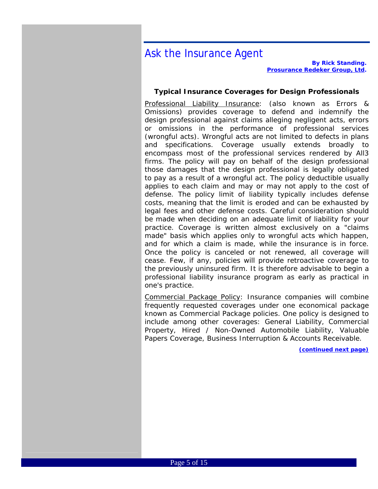### Ask the Insurance Agent

*By Rick Standing. [Prosurance Redeker Group, Ltd.](http://www.ae-insurance.com/)* 

#### **Typical Insurance Coverages for Design Professionals**

Professional Liability Insurance: (also known as Errors & Omissions) provides coverage to defend and indemnify the design professional against claims alleging negligent acts, errors or omissions in the performance of professional services (wrongful acts). Wrongful acts are not limited to defects in plans and specifications. Coverage usually extends broadly to encompass most of the professional services rendered by All3 firms. The policy will pay on behalf of the design professional those damages that the design professional is legally obligated to pay as a result of a wrongful act. The policy deductible usually applies to each claim and may or may not apply to the cost of defense. The policy limit of liability typically includes defense costs, meaning that the limit is eroded and can be exhausted by legal fees and other defense costs. Careful consideration should be made when deciding on an adequate limit of liability for your practice. Coverage is written almost exclusively on a "claims made" basis which applies only to wrongful acts which happen, and for which a claim is made, while the insurance is in force. Once the policy is canceled or not renewed, all coverage will cease. Few, if any, policies will provide retroactive coverage to the previously uninsured firm. It is therefore advisable to begin a professional liability insurance program as early as practical in one's practice.

Commercial Package Policy: Insurance companies will combine frequently requested coverages under one economical package known as Commercial Package policies. One policy is designed to include among other coverages: General Liability, Commercial Property, Hired / Non-Owned Automobile Liability, Valuable Papers Coverage, Business Interruption & Accounts Receivable.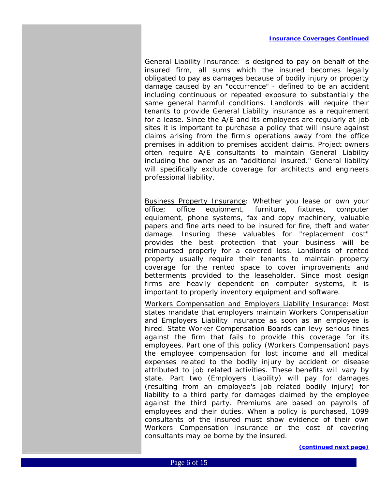General Liability Insurance: is designed to pay on behalf of the insured firm, all sums which the insured becomes legally obligated to pay as damages because of bodily injury or property damage caused by an "occurrence" - defined to be an accident including continuous or repeated exposure to substantially the same general harmful conditions. Landlords will require their tenants to provide General Liability insurance as a requirement for a lease. Since the A/E and its employees are regularly at job sites it is important to purchase a policy that will insure against claims arising from the firm's operations away from the office premises in addition to premises accident claims. Project owners often require A/E consultants to maintain General Liability including the owner as an "additional insured." General liability will specifically exclude coverage for architects and engineers professional liability.

Business Property Insurance: Whether you lease or own your office; office equipment, furniture, fixtures, computer equipment, phone systems, fax and copy machinery, valuable papers and fine arts need to be insured for fire, theft and water damage. Insuring these valuables for "replacement cost" provides the best protection that your business will be reimbursed properly for a covered loss. Landlords of rented property usually require their tenants to maintain property coverage for the rented space to cover improvements and betterments provided to the leaseholder. Since most design firms are heavily dependent on computer systems, it is important to properly inventory equipment and software.

Workers Compensation and Employers Liability Insurance: Most states mandate that employers maintain Workers Compensation and Employers Liability insurance as soon as an employee is hired. State Worker Compensation Boards can levy serious fines against the firm that fails to provide this coverage for its employees. Part one of this policy (Workers Compensation) pays the employee compensation for lost income and all medical expenses related to the bodily injury by accident or disease attributed to job related activities. These benefits will vary by state. Part two (Employers Liability) will pay for damages (resulting from an employee's job related bodily injury) for liability to a third party for damages claimed by the employee against the third party. Premiums are based on payrolls of employees and their duties. When a policy is purchased, 1099 consultants of the insured must show evidence of their own Workers Compensation insurance or the cost of covering consultants may be borne by the insured.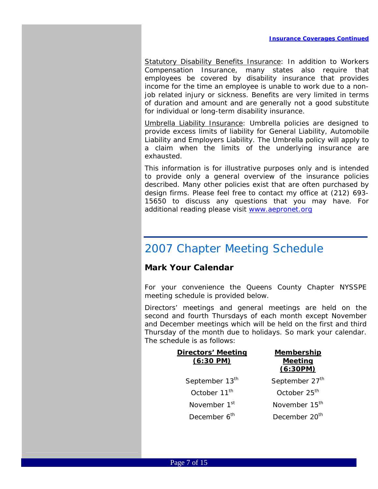Statutory Disability Benefits Insurance: In addition to Workers Compensation Insurance, many states also require that employees be covered by disability insurance that provides income for the time an employee is unable to work due to a nonjob related injury or sickness. Benefits are very limited in terms of duration and amount and are generally not a good substitute for individual or long-term disability insurance.

Umbrella Liability Insurance: Umbrella policies are designed to provide excess limits of liability for General Liability, Automobile Liability and Employers Liability. The Umbrella policy will apply to a claim when the limits of the underlying insurance are exhausted.

This information is for illustrative purposes only and is intended to provide only a general overview of the insurance policies described. Many other policies exist that are often purchased by design firms. Please feel free to contact my office at (212) 693- 15650 to discuss any questions that you may have. For additional reading please visit<www.aepronet.org>

### 2007 Chapter Meeting Schedule

### **Mark Your Calendar**

For your convenience the Queens County Chapter NYSSPE meeting schedule is provided below.

Directors' meetings and general meetings are held on the second and fourth Thursdays of each month except November and December meetings which will be held on the first and third Thursday of the month due to holidays. So mark your calendar. The schedule is as follows:

| <b>Directors' Meeting</b><br>$(6:30 \text{ PM})$ | Membership<br><b>Meeting</b><br>(6:30PM) |
|--------------------------------------------------|------------------------------------------|
| September 13 <sup>th</sup>                       | September 27 <sup>th</sup>               |
| October 11 <sup>th</sup>                         | October 25 <sup>th</sup>                 |
| November 1 <sup>st</sup>                         | November 15 <sup>th</sup>                |
| December 6 <sup>th</sup>                         | December 20 <sup>th</sup>                |
|                                                  |                                          |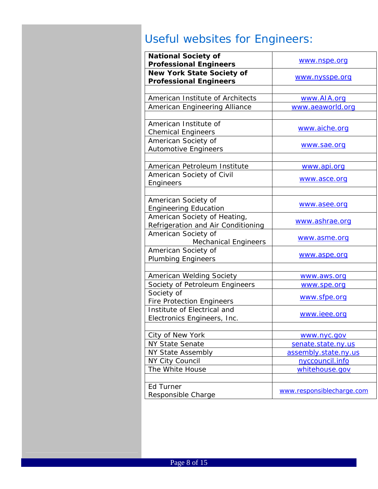### Useful websites for Engineers:

| <b>National Society of</b><br><b>Professional Engineers</b>        | www.nspe.org              |
|--------------------------------------------------------------------|---------------------------|
| <b>New York State Society of</b><br><b>Professional Engineers</b>  | www.nysspe.org            |
|                                                                    |                           |
| American Institute of Architects                                   | www.AIA.org               |
| American Engineering Alliance                                      | www.aeaworld.org          |
|                                                                    |                           |
| American Institute of<br><b>Chemical Engineers</b>                 | www.aiche.org             |
| American Society of<br><b>Automotive Engineers</b>                 | www.sae.org               |
|                                                                    |                           |
| American Petroleum Institute                                       | <u>www.api.org</u>        |
| American Society of Civil<br>Engineers                             | www.asce.org              |
|                                                                    |                           |
| American Society of<br><b>Engineering Education</b>                | www.asee.org              |
| American Society of Heating,<br>Refrigeration and Air Conditioning | www.ashrae.org            |
| American Society of<br><b>Mechanical Engineers</b>                 | www.asme.org              |
| American Society of<br><b>Plumbing Engineers</b>                   | www.aspe.org              |
|                                                                    |                           |
| American Welding Society                                           | www.aws.org               |
| Society of Petroleum Engineers                                     | www.spe.org               |
| Society of<br><b>Fire Protection Engineers</b>                     | www.sfpe.org              |
| Institute of Electrical and<br>Electronics Engineers, Inc.         | www.ieee.org              |
|                                                                    |                           |
| City of New York                                                   | www.nyc.gov               |
| <b>NY State Senate</b>                                             | senate.state.ny.us        |
| <b>NY State Assembly</b>                                           | assembly.state.ny.us      |
| NY City Council                                                    | nyccouncil.info           |
| The White House                                                    | whitehouse.gov            |
|                                                                    |                           |
| Ed Turner<br>Responsible Charge                                    | www.responsiblecharge.com |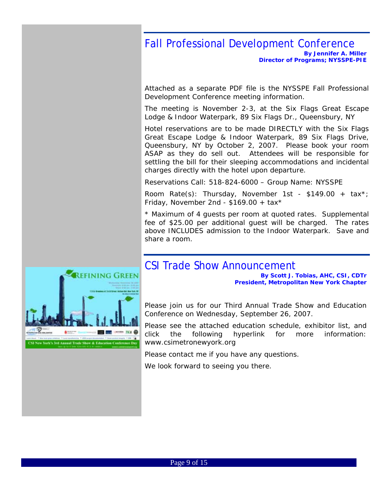### Fall Professional Development Conference

*By Jennifer A. Miller [Director](http://www.ae-insurance.com/) of Programs; NYSSPE-PIE* 

Attached as a separate PDF file is the NYSSPE Fall Professional Development Conference meeting information.

The meeting is November 2-3, at the Six Flags Great Escape Lodge & Indoor Waterpark, 89 Six Flags Dr., Queensbury, NY

Hotel reservations are to be made DIRECTLY with the Six Flags Great Escape Lodge & Indoor Waterpark, 89 Six Flags Drive, Queensbury, NY by October 2, 2007. Please book your room ASAP as they do sell out. Attendees will be responsible for settling the bill for their sleeping accommodations and incidental charges directly with the hotel upon departure.

Reservations Call: 518-824-6000 – Group Name: NYSSPE

Room Rate(s): Thursday, November 1st - \$149.00 + tax<sup>\*</sup>; Friday, November 2nd -  $$169.00 + tax*$ 

\* Maximum of 4 guests per room at quoted rates. Supplemental fee of \$25.00 per additional guest will be charged. The rates above INCLUDES admission to the Indoor Waterpark. Save and share a room.

### CSI Trade Show Announcement

*By Scott J. Tobias, AHC, CSI, CDTr President, Metropolitan New York Chapter* 

Please join us for our Third Annual Trade Show and Education Conference on Wednesday, September 26, 2007.

Please see the attached education schedule, exhibitor list, and click the following hyperlink for more information: www.csimetronewyork.org

Please contact me if you have any questions.

We look forward to seeing you there.

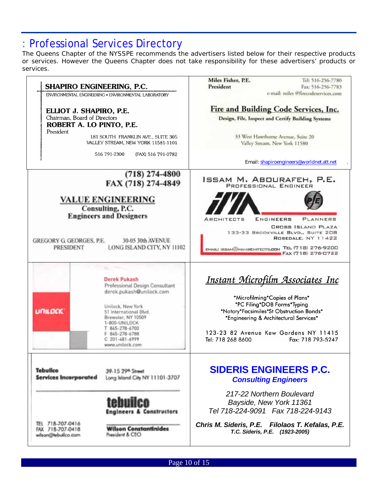### : Professional Services Directory

The Queens Chapter of the NYSSPE recommends the advertisers listed below for their respective products or services. However the Queens Chapter does not take responsibility for these advertisers' products or services.

|                                                                                                  |                                                                                                                                                                                                                             | Miles Fisher, P.E.<br>President                                                                                                                                                                                   | Tel: 516-256-7780<br>Fax: 516-256-7783                                                                                  |
|--------------------------------------------------------------------------------------------------|-----------------------------------------------------------------------------------------------------------------------------------------------------------------------------------------------------------------------------|-------------------------------------------------------------------------------------------------------------------------------------------------------------------------------------------------------------------|-------------------------------------------------------------------------------------------------------------------------|
| SHAPIRO ENGINEERING, P.C.                                                                        | ENVIRONMENTAL ENGINEERING . ENVIRONMENTAL LABORATORY                                                                                                                                                                        |                                                                                                                                                                                                                   | e-mail: miles @firecodeservices.com                                                                                     |
| ELLIOT J. SHAPIRO, P.E.<br>Chairman, Board of Directors<br>ROBERT A. LO PINTO, P.E.<br>President | 181 SOUTH FRANKLIN AVE., SUITE 305<br>VALLEY STREAM, NEW YORK 11581-1101<br>516 791-2300<br>(FAX) 516 791-0782                                                                                                              | Fire and Building Code Services, Inc.<br>Design, File, Inspect and Certify Building Systems<br>33 West Hawthorne Avenue, Suite 20<br>Valley Stream, New York 11580                                                |                                                                                                                         |
|                                                                                                  |                                                                                                                                                                                                                             |                                                                                                                                                                                                                   | Email: shapiroengineers@worldnet.att.net                                                                                |
|                                                                                                  | $(718)$ 274-4800<br>FAX (718) 274-4849<br><b>VALUE ENGINEERING</b><br>Consulting, P.C.                                                                                                                                      | ISSAM M. ABOURAFEH, <b>P.E.</b><br>PROFESSIONAL ENGINEER                                                                                                                                                          |                                                                                                                         |
| <b>GREGORY G GEORGES, P.E.</b><br><b>PRESIDENT</b>                                               | <b>Engineers and Designers</b><br>30-05 30th AVENUE<br>LONG ISLAND CITY, NY 11102                                                                                                                                           | ENGINEERS<br>ARCHITECTS<br>EMAIL: ISSAM@IMA-ARCHITECTS.COM TEL (718) 276-9200                                                                                                                                     | PLANNERS<br><b>CROSS ISLAND PLAZA</b><br>133-33 BROOKVILLE BLVD., SUITE 208<br>ROSEDALE, NY 11422<br>FAX (718) 276-0722 |
|                                                                                                  | Derek Pukash                                                                                                                                                                                                                |                                                                                                                                                                                                                   | <u> Instant Microfilm Associates Inc</u>                                                                                |
| <b>UNILDEK</b>                                                                                   | Professional Design Consultant<br>derek.pukash@unilock.com<br>Unilock, New York<br>51 International Blvd.<br>Brewster, NY 10509<br>1-800-UNILOCK<br>T 845-278-6700<br>F 845-278-6788<br>$C$ 201-481-6999<br>www.unilock.com | *Microfilming*Copies of Plans*<br>*PC Filing*DOB Forms*Typing<br>*Notary*Facsimiles*St Obstruction Bonds*<br>*Engineering & Architectural Services*<br>123-23 82 Avenue Kew Gardens NY 11415<br>Tel: 718 268 8600 | Fax: 718 793-5247                                                                                                       |
| <b>Tebuilco</b><br><b>Services Incorporated</b>                                                  | 39-15 29th Street<br>Long Island City NY 11101-3707                                                                                                                                                                         | <b>SIDERIS ENGINEERS P.C.</b><br><b>Consulting Engineers</b>                                                                                                                                                      |                                                                                                                         |
|                                                                                                  | tehuiler<br><b>Engineers &amp; Constructors</b>                                                                                                                                                                             | 217-22 Northern Boulevard<br>Bayside, New York 11361<br>Tel 718-224-9091  Fax 718-224-9143                                                                                                                        |                                                                                                                         |

Page 10 of 15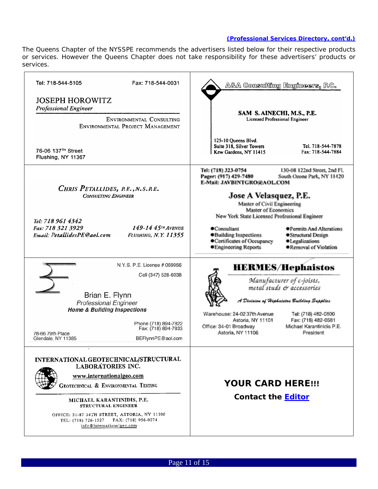#### *(Professional Services Directory, cont'd.)*

The Queens Chapter of the NYSSPE recommends the advertisers listed below for their respective products or services. However the Queens Chapter does not take responsibility for these advertisers' products or services.

| Tel: 718-544-5105<br>Fax: 718-544-0031                                                                                                                                                                                                                                                                                | A&A Consulting Engineers, P.C.                                                                                                                                                                                                                                                                                                                                                                                                                                               |
|-----------------------------------------------------------------------------------------------------------------------------------------------------------------------------------------------------------------------------------------------------------------------------------------------------------------------|------------------------------------------------------------------------------------------------------------------------------------------------------------------------------------------------------------------------------------------------------------------------------------------------------------------------------------------------------------------------------------------------------------------------------------------------------------------------------|
| <b>JOSEPH HOROWITZ</b><br><b>Professional Engineer</b><br><b>ENVIRONMENTAL CONSULTING</b><br>ENVIRONMENTAL PROJECT MANAGEMENT                                                                                                                                                                                         | SAM S. AINECHI, M.S., P.E.<br>Licensed Professional Engineer<br>125-10 Queens Blvd.                                                                                                                                                                                                                                                                                                                                                                                          |
| 76-06 137 <sup>TH</sup> Street<br>Flushing, NY 11367                                                                                                                                                                                                                                                                  | Suite 318, Silver Towers<br>Tel. 718-544-7878<br>Fax: 718-544-7884<br>Kew Gardens, NY 11415                                                                                                                                                                                                                                                                                                                                                                                  |
| CHRIS PETALLIDES, R.E., N.S.R.E.<br><b>CONSULTING ENGINEER</b><br>Tel: 718 961 4342<br>149-14 45TH AVENUE<br>Fax: 718 321 3929<br>Email: PetallidesPE@aol.com<br><b>FLUSHING, N.Y. 11355</b>                                                                                                                          | Tel: (718) 323-0754<br>130-08 122nd Street, 2nd Fl.<br>Pager: (917) 429-7480<br>South Ozone Park, NY 11420<br>E-Mail: JAVBINTGRO@AOL.COM<br>Jose A Velasquez, P.E.<br>Master of Civil Engineering<br>Master of Economics<br>New York State Licensed Professional Engineer<br>Consultant<br>● Permits And Alterations<br>·Building Inspections<br>● Structural Design<br>●Certificates of Occupancy<br>·Legalizations<br><b>•Engineering Reports</b><br>●Removal of Violation |
| N.Y.S. P.E. License # 069956<br>Cell (347) 528-6038<br>Brian E. Flynn<br><b>Professional Engineer</b><br><b>Home &amp; Building Inspections</b><br>Phone (718) 894-7822<br>Fax: (718) 894-7833<br>78-66 79th Place<br>BEFlynnPE@aol.com<br>Glendale, NY 11385                                                         | <b>HERMES/Hephaistos</b><br>Manufacturer of c-joists,<br>metal studs & accessories<br>ł Division of Hephaistos Building Supplies<br>Warehouse: 24-02 37th Avenue<br>Tel: (718) 482-0800<br>Fax: (718) 482-0581<br>Astoria, NY 11101<br>Office: 34-01 Broadway<br>Michael Karantinidis P.E.<br>Astoria, NY 11106<br>President                                                                                                                                                 |
| INTERNATIONAL GEOTECHNICAL/STRUCTURAL<br><b>LABORATORIES INC.</b><br>www.internationalgeo.com<br>GEOTECHNICAL & ENVIRONMENTAL TESTING<br>MICHAEL KARANTINIDIS, P.E.<br>STRUCTURAL ENGINEER<br>OFFICE: 31-87 34TH STREET, ASTORIA, NY 11106<br>FAX: (718) 956-0274<br>TEL: (718) 726-1527<br>info@internationalgeo.com | <b>YOUR CARD HERE!!!</b><br><b>Contact the Editor</b>                                                                                                                                                                                                                                                                                                                                                                                                                        |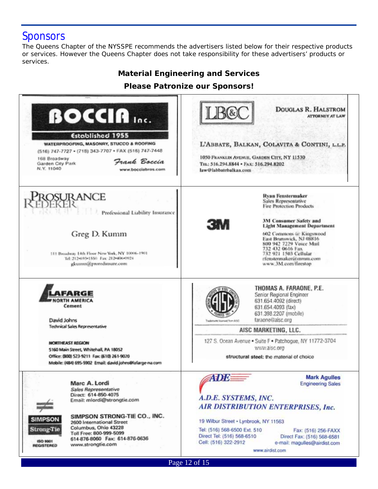### **Sponsors**

The Queens Chapter of the NYSSPE recommends the advertisers listed below for their respective products or services. However the Queens Chapter does not take responsibility for these advertisers' products or services.

### *Material Engineering and Services*

**Please Patronize our Sponsors!** 

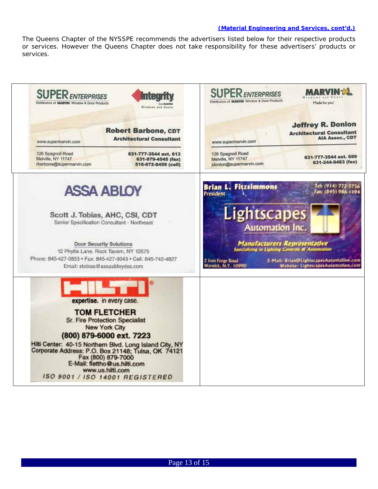#### *(Material Engineering and Services, cont'd.)*

The Queens Chapter of the NYSSPE recommends the advertisers listed below for their respective products or services. However the Queens Chapter does not take responsibility for these advertisers' products or services.

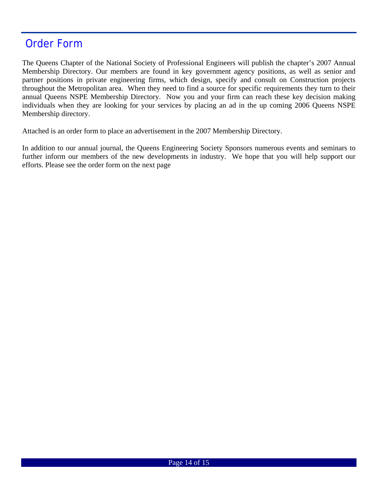### Order Form

The Queens Chapter of the National Society of Professional Engineers will publish the chapter's 2007 Annual Membership Directory. Our members are found in key government agency positions, as well as senior and partner positions in private engineering firms, which design, specify and consult on Construction projects throughout the Metropolitan area. When they need to find a source for specific requirements they turn to their annual Queens NSPE Membership Directory. Now you and your firm can reach these key decision making individuals when they are looking for your services by placing an ad in the up coming 2006 Queens NSPE Membership directory.

Attached is an order form to place an advertisement in the 2007 Membership Directory.

In addition to our annual journal, the Queens Engineering Society Sponsors numerous events and seminars to further inform our members of the new developments in industry. We hope that you will help support our efforts. Please see the order form on the next page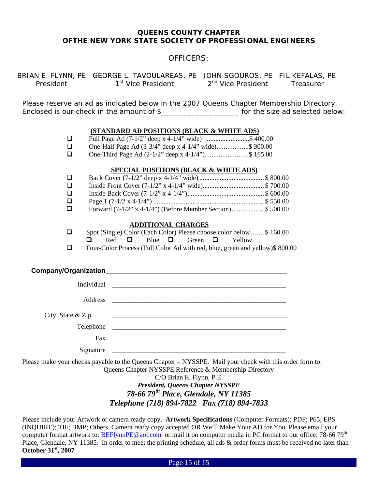#### *QUEENS COUNTY CHAPTER OFTHE NEW YORK STATE SOCIETY OF PROFESSIONAL ENGINEERS*

#### *OFFICERS:*

BRIAN E. FLYNN, PE GEORGE L. TAVOULAREAS, PE JOHN SGOUROS, PE FIL KEFALAS, PE President 1<sup>st</sup> Vice President 2<sup>nd</sup> Vice President Treasurer

Please reserve an ad as indicated below in the 2007 Queens Chapter Membership Directory. Enclosed is our check in the amount of \$\_\_\_\_\_\_\_\_\_\_\_\_\_\_\_\_\_\_\_\_\_\_\_\_ for the size ad selected below:

#### **(STANDARD AD POSITIONS (BLACK & WHITE ADS)**

|  | Full Page Ad (7-1/2" deep x 4-1/4" wide) \$ 400.00                                                                  |                                                                                                          |         |
|--|---------------------------------------------------------------------------------------------------------------------|----------------------------------------------------------------------------------------------------------|---------|
|  | $\alpha$ II 10 $\beta$ $\beta$ $\beta$ $\beta$ $\beta$ $\beta$ $\gamma$ $\beta$ $\gamma$ $\gamma$ $\gamma$ $\gamma$ | $\overline{1}$ $\overline{1}$ $\overline{1}$ $\overline{1}$ $\overline{1}$ $\overline{1}$ $\overline{1}$ | 0.00000 |

- **One-Half Page Ad (3-3/4" deep x 4-1/4" wide)………….... \$ 300.00**<br> **One-Third Page Ad (2-1/2" deep x 4-1/4")**………………………...\$ 165.00
	- One-Third Page Ad (2-1/2" deep x 4-1/4")………………..\$ 165.00

#### **SPECIAL POSITIONS (BLACK & WHITE ADS)**

| $\Box$ |                                                               |  |
|--------|---------------------------------------------------------------|--|
| $\Box$ |                                                               |  |
| □      |                                                               |  |
| □.     |                                                               |  |
|        | Forward $(7-1/2$ " x 4-1/4") (Before Member Section)\$ 500.00 |  |

#### **ADDITIONAL CHARGES**

|  |  |  |  |  | Spot (Single) Color (Each Color) Please choose color below\$160.00 |  |
|--|--|--|--|--|--------------------------------------------------------------------|--|
|  |  |  |  |  |                                                                    |  |

- $\Box$  Red  $\Box$  Blue  $\Box$  Green  $\Box$  Yellow
- Four-Color Process (Full Color Ad with red, blue, green and yellow)\$ 800.00

#### **Company/Organization**

| Address           |                                                                                                                        |
|-------------------|------------------------------------------------------------------------------------------------------------------------|
| City, State & Zip | <u> 1980 - Johann John Stein, mars an deutscher Programmen und der Stein und der Stein und der Stein und der Stein</u> |
|                   |                                                                                                                        |
| Fax               | <u> 1980 - Jan James James Barnett, fransk politik (d. 1980)</u>                                                       |
| Signature         |                                                                                                                        |

Please make your checks payable to the Queens Chapter – NYSSPE. Mail your check with this order form to: Queens Chapter NYSSPE Reference & Membership Directory

### C/O Brian E. Flynn, P.E. *President, Queens Chapter NYSSPE 78-66 79th Place, Glendale, NY 11385 Telephone (718) 894-7822 Fax (718) 894-7833*

Please include your Artwork or camera ready copy. **Artwork Specifications** (Computer Formats): PDF; P65; EPS (INQUIRE); TIF; BMP; Others. Camera ready copy accepted OR We'll Make Your AD for You. Please email your computer format artwork to: [BEFlynnPE@aol.com](mailto:reidman@nyc.rr.com) or mail it on computer media in PC format to our office: 78-66 79<sup>th</sup> Place, Glendale, NY 11385. In order to meet the printing schedule, all ads & order forms must be received no later than **October 31st, 2007**